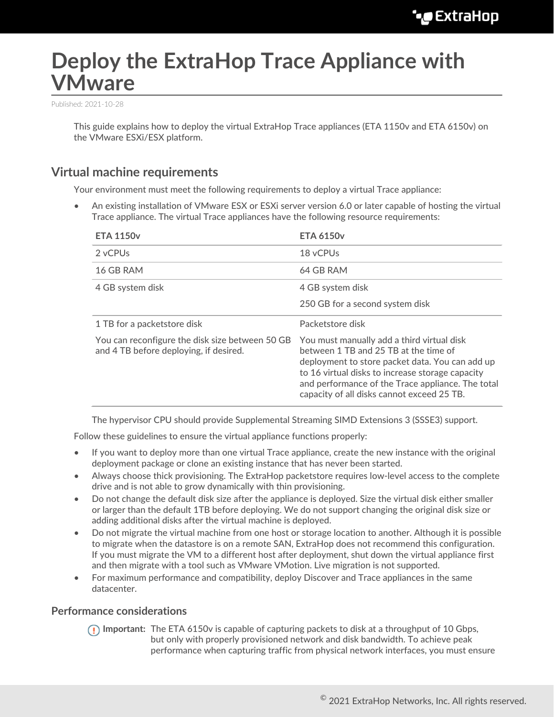# **Deploy the ExtraHop Trace Appliance with VMware**

Published: 2021-10-28

This guide explains how to deploy the virtual ExtraHop Trace appliances (ETA 1150v and ETA 6150v) on the VMware ESXi/ESX platform.

## **Virtual machine requirements**

Your environment must meet the following requirements to deploy a virtual Trace appliance:

• An existing installation of VMware ESX or ESXi server version 6.0 or later capable of hosting the virtual Trace appliance. The virtual Trace appliances have the following resource requirements:

| <b>ETA 1150v</b>                                                                          | <b>ETA 6150v</b>                                                                                                                                                                                                                                                                              |
|-------------------------------------------------------------------------------------------|-----------------------------------------------------------------------------------------------------------------------------------------------------------------------------------------------------------------------------------------------------------------------------------------------|
| 2 vCPUs                                                                                   | 18 vCPUs                                                                                                                                                                                                                                                                                      |
| 16 GB RAM                                                                                 | 64 GB RAM                                                                                                                                                                                                                                                                                     |
| 4 GB system disk                                                                          | 4 GB system disk                                                                                                                                                                                                                                                                              |
|                                                                                           | 250 GB for a second system disk                                                                                                                                                                                                                                                               |
| 1 TB for a packetstore disk                                                               | Packetstore disk                                                                                                                                                                                                                                                                              |
| You can reconfigure the disk size between 50 GB<br>and 4 TB before deploying, if desired. | You must manually add a third virtual disk<br>between 1 TB and 25 TB at the time of<br>deployment to store packet data. You can add up<br>to 16 virtual disks to increase storage capacity<br>and performance of the Trace appliance. The total<br>capacity of all disks cannot exceed 25 TB. |

The hypervisor CPU should provide Supplemental Streaming SIMD Extensions 3 (SSSE3) support.

Follow these guidelines to ensure the virtual appliance functions properly:

- If you want to deploy more than one virtual Trace appliance, create the new instance with the original deployment package or clone an existing instance that has never been started.
- Always choose thick provisioning. The ExtraHop packetstore requires low-level access to the complete drive and is not able to grow dynamically with thin provisioning.
- Do not change the default disk size after the appliance is deployed. Size the virtual disk either smaller or larger than the default 1TB before deploying. We do not support changing the original disk size or adding additional disks after the virtual machine is deployed.
- Do not migrate the virtual machine from one host or storage location to another. Although it is possible to migrate when the datastore is on a remote SAN, ExtraHop does not recommend this configuration. If you must migrate the VM to a different host after deployment, shut down the virtual appliance first and then migrate with a tool such as VMware VMotion. Live migration is not supported.
- For maximum performance and compatibility, deploy Discover and Trace appliances in the same datacenter.

#### **Performance considerations**

**Important:** The ETA 6150v is capable of capturing packets to disk at a throughput of 10 Gbps, but only with properly provisioned network and disk bandwidth. To achieve peak performance when capturing traffic from physical network interfaces, you must ensure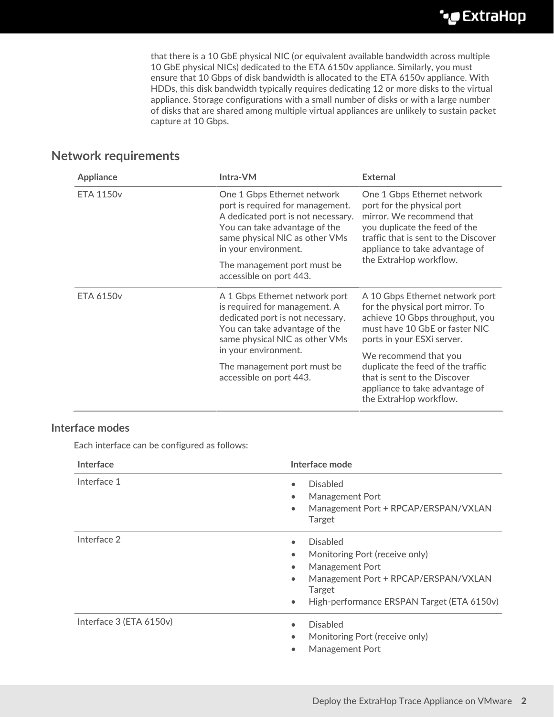that there is a 10 GbE physical NIC (or equivalent available bandwidth across multiple 10 GbE physical NICs) dedicated to the ETA 6150v appliance. Similarly, you must ensure that 10 Gbps of disk bandwidth is allocated to the ETA 6150v appliance. With HDDs, this disk bandwidth typically requires dedicating 12 or more disks to the virtual appliance. Storage configurations with a small number of disks or with a large number of disks that are shared among multiple virtual appliances are unlikely to sustain packet capture at 10 Gbps.

## **Network requirements**

| Appliance        | Intra-VM                                                                                                                                                                                         | External                                                                                                                                                                                                                    |
|------------------|--------------------------------------------------------------------------------------------------------------------------------------------------------------------------------------------------|-----------------------------------------------------------------------------------------------------------------------------------------------------------------------------------------------------------------------------|
| <b>ETA 1150v</b> | One 1 Gbps Ethernet network<br>port is required for management.<br>A dedicated port is not necessary.<br>You can take advantage of the<br>same physical NIC as other VMs<br>in your environment. | One 1 Gbps Ethernet network<br>port for the physical port<br>mirror. We recommend that<br>you duplicate the feed of the<br>traffic that is sent to the Discover<br>appliance to take advantage of<br>the ExtraHop workflow. |
|                  | The management port must be<br>accessible on port 443.                                                                                                                                           |                                                                                                                                                                                                                             |
| <b>ETA 6150v</b> | A 1 Gbps Ethernet network port<br>is required for management. A<br>dedicated port is not necessary.<br>You can take advantage of the<br>same physical NIC as other VMs                           | A 10 Gbps Ethernet network port<br>for the physical port mirror. To<br>achieve 10 Gbps throughput, you<br>must have 10 GbE or faster NIC<br>ports in your ESXi server.                                                      |
|                  | in your environment.                                                                                                                                                                             | We recommend that you<br>duplicate the feed of the traffic<br>that is sent to the Discover<br>appliance to take advantage of<br>the ExtraHop workflow.                                                                      |
|                  | The management port must be.<br>accessible on port 443.                                                                                                                                          |                                                                                                                                                                                                                             |

### **Interface modes**

Each interface can be configured as follows:

| Interface               | Interface mode                                                                                                                                                                                                           |
|-------------------------|--------------------------------------------------------------------------------------------------------------------------------------------------------------------------------------------------------------------------|
| Interface 1             | <b>Disabled</b><br><b>Management Port</b><br>$\bullet$<br>Management Port + RPCAP/ERSPAN/VXLAN<br>$\bullet$<br>Target                                                                                                    |
| Interface 2             | <b>Disabled</b><br>$\bullet$<br>Monitoring Port (receive only)<br>Management Port<br>$\bullet$<br>Management Port + RPCAP/ERSPAN/VXLAN<br>$\bullet$<br>Target<br>High-performance ERSPAN Target (ETA 6150v)<br>$\bullet$ |
| Interface 3 (ETA 6150v) | <b>Disabled</b><br>Monitoring Port (receive only)<br><b>Management Port</b><br>$\bullet$                                                                                                                                 |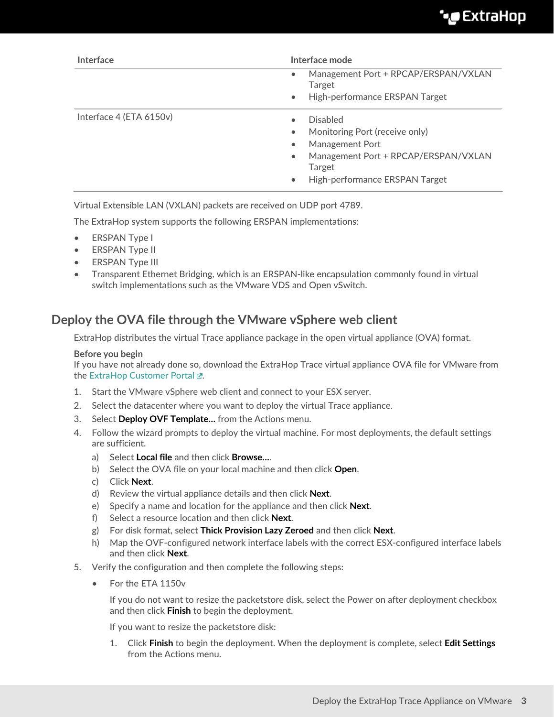| Interface               | Interface mode                                                                                                                                                                                                                   |  |
|-------------------------|----------------------------------------------------------------------------------------------------------------------------------------------------------------------------------------------------------------------------------|--|
|                         | Management Port + RPCAP/ERSPAN/VXLAN<br>$\bullet$<br>Target                                                                                                                                                                      |  |
|                         | High-performance ERSPAN Target<br>$\bullet$                                                                                                                                                                                      |  |
| Interface 4 (ETA 6150v) | <b>Disabled</b><br>$\bullet$<br>Monitoring Port (receive only)<br>$\bullet$<br><b>Management Port</b><br>$\bullet$<br>Management Port + RPCAP/ERSPAN/VXLAN<br>$\bullet$<br>Target<br>High-performance ERSPAN Target<br>$\bullet$ |  |

Virtual Extensible LAN (VXLAN) packets are received on UDP port 4789.

The ExtraHop system supports the following ERSPAN implementations:

- ERSPAN Type I
- **ERSPAN Type II**
- **ERSPAN Type III**
- Transparent Ethernet Bridging, which is an ERSPAN-like encapsulation commonly found in virtual switch implementations such as the VMware VDS and Open vSwitch.

## **Deploy the OVA file through the VMware vSphere web client**

ExtraHop distributes the virtual Trace appliance package in the open virtual appliance (OVA) format.

#### **Before you begin**

If you have not already done so, download the ExtraHop Trace virtual appliance OVA file for VMware from the [ExtraHop Customer Portal .](https://customers.extrahop.com/downloads/virtual-appliances/)..

- 1. Start the VMware vSphere web client and connect to your ESX server.
- 2. Select the datacenter where you want to deploy the virtual Trace appliance.
- 3. Select **Deploy OVF Template…** from the Actions menu.
- 4. Follow the wizard prompts to deploy the virtual machine. For most deployments, the default settings are sufficient.
	- a) Select **Local file** and then click **Browse…**.
	- b) Select the OVA file on your local machine and then click **Open**.
	- c) Click **Next**.
	- d) Review the virtual appliance details and then click **Next**.
	- e) Specify a name and location for the appliance and then click **Next**.
	- f) Select a resource location and then click **Next**.
	- g) For disk format, select **Thick Provision Lazy Zeroed** and then click **Next**.
	- h) Map the OVF-configured network interface labels with the correct ESX-configured interface labels and then click **Next**.
- 5. Verify the configuration and then complete the following steps:
	- For the ETA 1150v

If you do not want to resize the packetstore disk, select the Power on after deployment checkbox and then click **Finish** to begin the deployment.

If you want to resize the packetstore disk:

1. Click **Finish** to begin the deployment. When the deployment is complete, select **Edit Settings** from the Actions menu.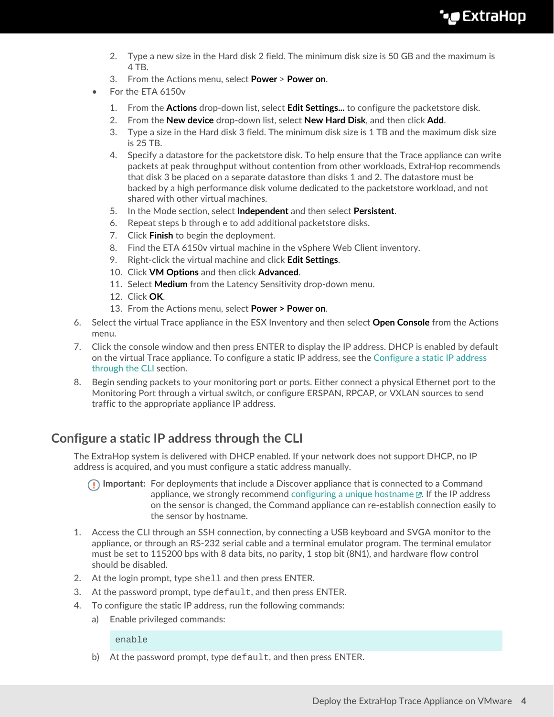- 2. Type a new size in the Hard disk 2 field. The minimum disk size is 50 GB and the maximum is 4 TB.
- 3. From the Actions menu, select **Power** > **Power on**.
- For the ETA 6150v
	- 1. From the **Actions** drop-down list, select **Edit Settings...** to configure the packetstore disk.
	- 2. From the **New device** drop-down list, select **New Hard Disk**, and then click **Add**.
	- 3. Type a size in the Hard disk 3 field. The minimum disk size is 1 TB and the maximum disk size is 25 TB.
	- 4. Specify a datastore for the packetstore disk. To help ensure that the Trace appliance can write packets at peak throughput without contention from other workloads, ExtraHop recommends that disk 3 be placed on a separate datastore than disks 1 and 2. The datastore must be backed by a high performance disk volume dedicated to the packetstore workload, and not shared with other virtual machines.
	- 5. In the Mode section, select **Independent** and then select **Persistent**.
	- 6. Repeat steps b through e to add additional packetstore disks.
	- 7. Click **Finish** to begin the deployment.
	- 8. Find the ETA 6150v virtual machine in the vSphere Web Client inventory.
	- 9. Right-click the virtual machine and click **Edit Settings**.
	- 10. Click **VM Options** and then click **Advanced**.
	- 11. Select **Medium** from the Latency Sensitivity drop-down menu.
	- 12. Click **OK**.
	- 13. From the Actions menu, select **Power > Power on**.
- 6. Select the virtual Trace appliance in the ESX Inventory and then select **Open Console** from the Actions menu.
- 7. Click the console window and then press ENTER to display the IP address. DHCP is enabled by default on the virtual Trace appliance. To configure a static IP address, see the [Configure a static IP address](#page-3-0) [through the CLI](#page-3-0) section.
- 8. Begin sending packets to your monitoring port or ports. Either connect a physical Ethernet port to the Monitoring Port through a virtual switch, or configure ERSPAN, RPCAP, or VXLAN sources to send traffic to the appropriate appliance IP address.

## <span id="page-3-0"></span>**Configure a static IP address through the CLI**

The ExtraHop system is delivered with DHCP enabled. If your network does not support DHCP, no IP address is acquired, and you must configure a static address manually.

**Important:** For deployments that include a Discover appliance that is connected to a Command appliance, we strongly recommend [configuring a unique hostname](https://docs.extrahop.com/8.6/eta-admin-ui-guide/#connectivity)  $\mathbb{Z}$ . If the IP address on the sensor is changed, the Command appliance can re-establish connection easily to the sensor by hostname.

- 1. Access the CLI through an SSH connection, by connecting a USB keyboard and SVGA monitor to the appliance, or through an RS-232 serial cable and a terminal emulator program. The terminal emulator must be set to 115200 bps with 8 data bits, no parity, 1 stop bit (8N1), and hardware flow control should be disabled.
- 2. At the login prompt, type shell and then press ENTER.
- 3. At the password prompt, type default, and then press ENTER.
- 4. To configure the static IP address, run the following commands:
	- a) Enable privileged commands:

enable

b) At the password prompt, type default, and then press ENTER.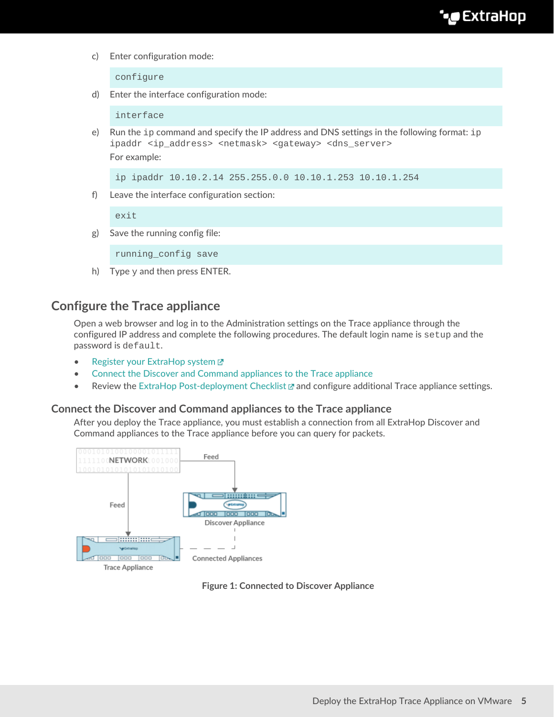c) Enter configuration mode:

configure

d) Enter the interface configuration mode:

interface

e) Run the ip command and specify the IP address and DNS settings in the following format: ip ipaddr <ip\_address> <netmask> <gateway> <dns\_server> For example:

ip ipaddr 10.10.2.14 255.255.0.0 10.10.1.253 10.10.1.254

f) Leave the interface configuration section:

exit

g) Save the running config file:

running\_config save

h) Type  $y$  and then press ENTER.

## **Configure the Trace appliance**

Open a web browser and log in to the Administration settings on the Trace appliance through the configured IP address and complete the following procedures. The default login name is setup and the password is default.

- [Register your ExtraHop system](https://docs.extrahop.com/8.6/register-appliance/#register-your-extrahop-system) M
- [Connect the Discover and Command appliances to the Trace appliance](#page-4-0)
- Review the [ExtraHop Post-deployment Checklist](https://docs.extrahop.com/8.6/eta-post-deployment-checklist) **A** and configure additional Trace appliance settings.

#### <span id="page-4-0"></span>**Connect the Discover and Command appliances to the Trace appliance**

After you deploy the Trace appliance, you must establish a connection from all ExtraHop Discover and Command appliances to the Trace appliance before you can query for packets.